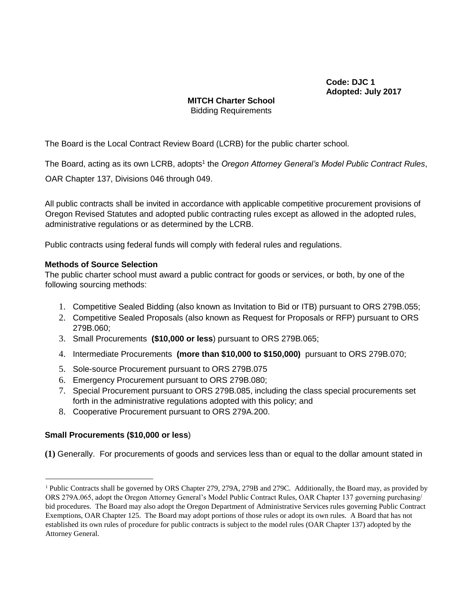**Code: DJC 1 Adopted: July 2017**

# **MITCH Charter School** Bidding Requirements

The Board is the Local Contract Review Board (LCRB) for the public charter school.

The Board, acting as its own LCRB, adopts<sup>1</sup> the *Oregon Attorney General's Model Public Contract Rules*,

OAR Chapter 137, Divisions 046 through 049.

All public contracts shall be invited in accordance with applicable competitive procurement provisions of Oregon Revised Statutes and adopted public contracting rules except as allowed in the adopted rules, administrative regulations or as determined by the LCRB.

Public contracts using federal funds will comply with federal rules and regulations.

#### **Methods of Source Selection**

The public charter school must award a public contract for goods or services, or both, by one of the following sourcing methods:

- 1. Competitive Sealed Bidding (also known as Invitation to Bid or ITB) pursuant to ORS 279B.055;
- 2. Competitive Sealed Proposals (also known as Request for Proposals or RFP) pursuant to ORS 279B.060;
- 3. Small Procurements **(\$10,000 or less**) pursuant to ORS 279B.065;
- 4. Intermediate Procurements **(more than \$10,000 to \$150,000)** pursuant to ORS 279B.070;
- 5. Sole-source Procurement pursuant to ORS 279B.075
- 6. Emergency Procurement pursuant to ORS 279B.080;
- 7. Special Procurement pursuant to ORS 279B.085, including the class special procurements set forth in the administrative regulations adopted with this policy; and
- 8. Cooperative Procurement pursuant to ORS 279A.200.

#### **Small Procurements (\$10,000 or less**)

 $\overline{a}$ 

**(1)** Generally. For procurements of goods and services less than or equal to the dollar amount stated in

<sup>&</sup>lt;sup>1</sup> Public Contracts shall be governed by ORS Chapter 279, 279A, 279B and 279C. Additionally, the Board may, as provided by ORS 279A.065, adopt the Oregon Attorney General's Model Public Contract Rules, OAR Chapter 137 governing purchasing/ bid procedures. The Board may also adopt the Oregon Department of Administrative Services rules governing Public Contract Exemptions, OAR Chapter 125. The Board may adopt portions of those rules or adopt its own rules. A Board that has not established its own rules of procedure for public contracts is subject to the model rules (OAR Chapter 137) adopted by the Attorney General.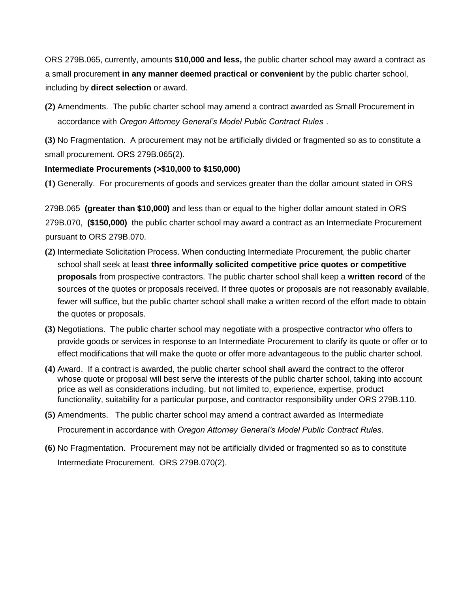ORS 279B.065, currently, amounts **\$10,000 and less,** the public charter school may award a contract as a small procurement **in any manner deemed practical or convenient** by the public charter school, including by **direct selection** or award.

**(2)** Amendments. The public charter school may amend a contract awarded as Small Procurement in accordance with *Oregon Attorney General's Model Public Contract Rules* .

**(3)** No Fragmentation. A procurement may not be artificially divided or fragmented so as to constitute a small procurement. ORS 279B.065(2).

## **Intermediate Procurements (>\$10,000 to \$150,000)**

**(1)** Generally. For procurements of goods and services greater than the dollar amount stated in ORS

279B.065 **(greater than \$10,000)** and less than or equal to the higher dollar amount stated in ORS 279B.070, **(\$150,000)** the public charter school may award a contract as an Intermediate Procurement pursuant to ORS 279B.070.

- **(2)** Intermediate Solicitation Process. When conducting Intermediate Procurement, the public charter school shall seek at least **three informally solicited competitive price quotes or competitive proposals** from prospective contractors. The public charter school shall keep a **written record** of the sources of the quotes or proposals received. If three quotes or proposals are not reasonably available, fewer will suffice, but the public charter school shall make a written record of the effort made to obtain the quotes or proposals.
- **(3)** Negotiations. The public charter school may negotiate with a prospective contractor who offers to provide goods or services in response to an Intermediate Procurement to clarify its quote or offer or to effect modifications that will make the quote or offer more advantageous to the public charter school.
- **(4)** Award. If a contract is awarded, the public charter school shall award the contract to the offeror whose quote or proposal will best serve the interests of the public charter school, taking into account price as well as considerations including, but not limited to, experience, expertise, product functionality, suitability for a particular purpose, and contractor responsibility under ORS 279B.110.
- **(5)** Amendments. The public charter school may amend a contract awarded as Intermediate Procurement in accordance with *Oregon Attorney General's Model Public Contract Rules*.
- **(6)** No Fragmentation. Procurement may not be artificially divided or fragmented so as to constitute Intermediate Procurement. ORS 279B.070(2).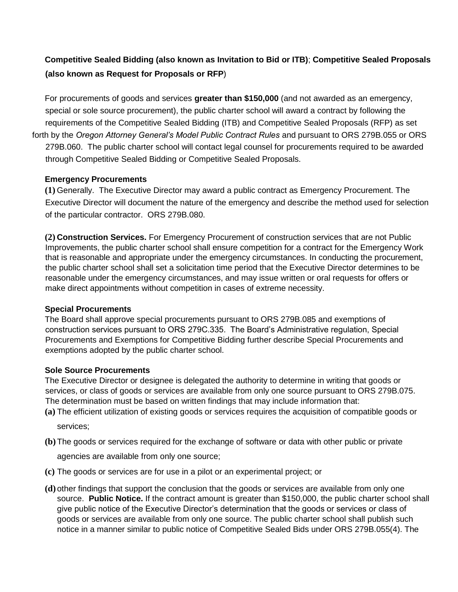# **Competitive Sealed Bidding (also known as Invitation to Bid or ITB)**; **Competitive Sealed Proposals (also known as Request for Proposals or RFP**)

For procurements of goods and services **greater than \$150,000** (and not awarded as an emergency, special or sole source procurement), the public charter school will award a contract by following the requirements of the Competitive Sealed Bidding (ITB) and Competitive Sealed Proposals (RFP) as set forth by the *Oregon Attorney General's Model Public Contract Rules* and pursuant to ORS 279B.055 or ORS 279B.060. The public charter school will contact legal counsel for procurements required to be awarded through Competitive Sealed Bidding or Competitive Sealed Proposals.

### **Emergency Procurements**

**(1)** Generally. The Executive Director may award a public contract as Emergency Procurement. The Executive Director will document the nature of the emergency and describe the method used for selection of the particular contractor. ORS 279B.080.

**(2) Construction Services.** For Emergency Procurement of construction services that are not Public Improvements, the public charter school shall ensure competition for a contract for the Emergency Work that is reasonable and appropriate under the emergency circumstances. In conducting the procurement, the public charter school shall set a solicitation time period that the Executive Director determines to be reasonable under the emergency circumstances, and may issue written or oral requests for offers or make direct appointments without competition in cases of extreme necessity.

#### **Special Procurements**

The Board shall approve special procurements pursuant to ORS 279B.085 and exemptions of construction services pursuant to ORS 279C.335. The Board's Administrative regulation, Special Procurements and Exemptions for Competitive Bidding further describe Special Procurements and exemptions adopted by the public charter school.

### **Sole Source Procurements**

The Executive Director or designee is delegated the authority to determine in writing that goods or services, or class of goods or services are available from only one source pursuant to ORS 279B.075. The determination must be based on written findings that may include information that:

- **(a)** The efficient utilization of existing goods or services requires the acquisition of compatible goods or services;
- **(b)**The goods or services required for the exchange of software or data with other public or private

agencies are available from only one source;

- **(c)** The goods or services are for use in a pilot or an experimental project; or
- **(d)** other findings that support the conclusion that the goods or services are available from only one source. **Public Notice.** If the contract amount is greater than \$150,000, the public charter school shall give public notice of the Executive Director's determination that the goods or services or class of goods or services are available from only one source. The public charter school shall publish such notice in a manner similar to public notice of Competitive Sealed Bids under ORS 279B.055(4). The